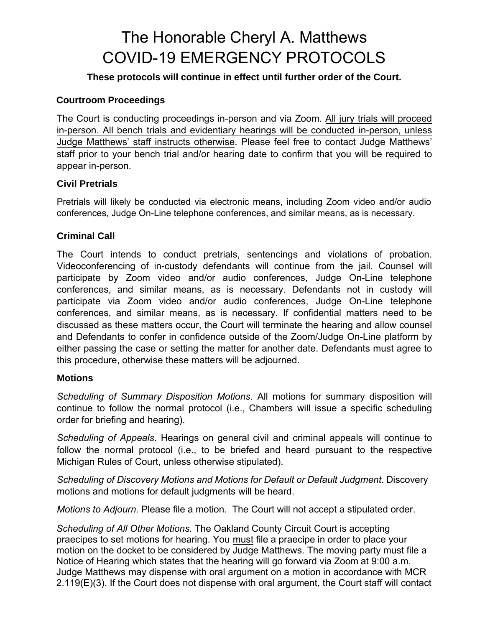# The Honorable Cheryl A. Matthews COVID-19 EMERGENCY PROTOCOLS

## **These protocols will continue in effect until further order of the Court.**

### **Courtroom Proceedings**

The Court is conducting proceedings in-person and via Zoom. All jury trials will proceed in-person. All bench trials and evidentiary hearings will be conducted in-person, unless Judge Matthews' staff instructs otherwise. Please feel free to contact Judge Matthews' staff prior to your bench trial and/or hearing date to confirm that you will be required to appear in-person.

#### **Civil Pretrials**

Pretrials will likely be conducted via electronic means, including Zoom video and/or audio conferences, Judge On-Line telephone conferences, and similar means, as is necessary.

#### **Criminal Call**

The Court intends to conduct pretrials, sentencings and violations of probation. Videoconferencing of in-custody defendants will continue from the jail. Counsel will participate by Zoom video and/or audio conferences, Judge On-Line telephone conferences, and similar means, as is necessary. Defendants not in custody will participate via Zoom video and/or audio conferences, Judge On-Line telephone conferences, and similar means, as is necessary. If confidential matters need to be discussed as these matters occur, the Court will terminate the hearing and allow counsel and Defendants to confer in confidence outside of the Zoom/Judge On-Line platform by either passing the case or setting the matter for another date. Defendants must agree to this procedure, otherwise these matters will be adjourned.

#### **Motions**

*Scheduling of Summary Disposition Motions*. All motions for summary disposition will continue to follow the normal protocol (i.e., Chambers will issue a specific scheduling order for briefing and hearing).

*Scheduling of Appeals*. Hearings on general civil and criminal appeals will continue to follow the normal protocol (i.e., to be briefed and heard pursuant to the respective Michigan Rules of Court, unless otherwise stipulated).

*Scheduling of Discovery Motions and Motions for Default or Default Judgment*. Discovery motions and motions for default judgments will be heard.

*Motions to Adjourn.* Please file a motion. The Court will not accept a stipulated order.

*Scheduling of All Other Motions.* The Oakland County Circuit Court is accepting praecipes to set motions for hearing. You must file a praecipe in order to place your motion on the docket to be considered by Judge Matthews. The moving party must file a Notice of Hearing which states that the hearing will go forward via Zoom at 9:00 a.m. Judge Matthews may dispense with oral argument on a motion in accordance with MCR 2.119(E)(3). If the Court does not dispense with oral argument, the Court staff will contact